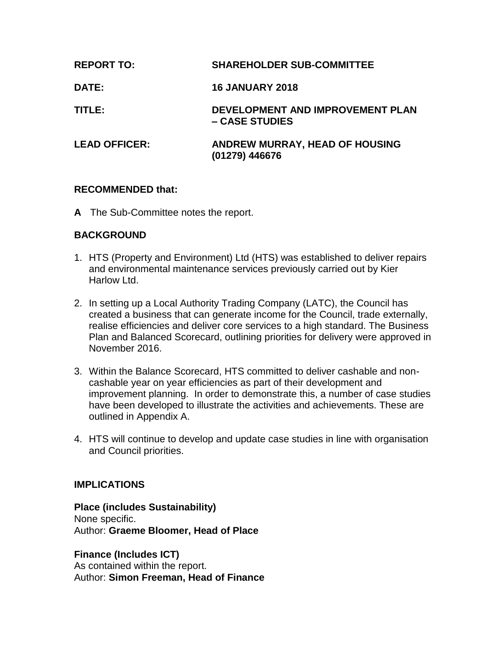| <b>REPORT TO:</b>    | <b>SHAREHOLDER SUB-COMMITTEE</b>                   |
|----------------------|----------------------------------------------------|
| <b>DATE:</b>         | <b>16 JANUARY 2018</b>                             |
| TITLE:               | DEVELOPMENT AND IMPROVEMENT PLAN<br>– CASE STUDIES |
| <b>LEAD OFFICER:</b> | ANDREW MURRAY, HEAD OF HOUSING<br>(01279) 446676   |

# **RECOMMENDED that:**

**A** The Sub-Committee notes the report.

# **BACKGROUND**

- 1. HTS (Property and Environment) Ltd (HTS) was established to deliver repairs and environmental maintenance services previously carried out by Kier Harlow Ltd.
- 2. In setting up a Local Authority Trading Company (LATC), the Council has created a business that can generate income for the Council, trade externally, realise efficiencies and deliver core services to a high standard. The Business Plan and Balanced Scorecard, outlining priorities for delivery were approved in November 2016.
- 3. Within the Balance Scorecard, HTS committed to deliver cashable and noncashable year on year efficiencies as part of their development and improvement planning. In order to demonstrate this, a number of case studies have been developed to illustrate the activities and achievements. These are outlined in Appendix A.
- 4. HTS will continue to develop and update case studies in line with organisation and Council priorities.

# **IMPLICATIONS**

**Place (includes Sustainability)** None specific. Author: **Graeme Bloomer, Head of Place**

**Finance (Includes ICT)** As contained within the report. Author: **Simon Freeman, Head of Finance**